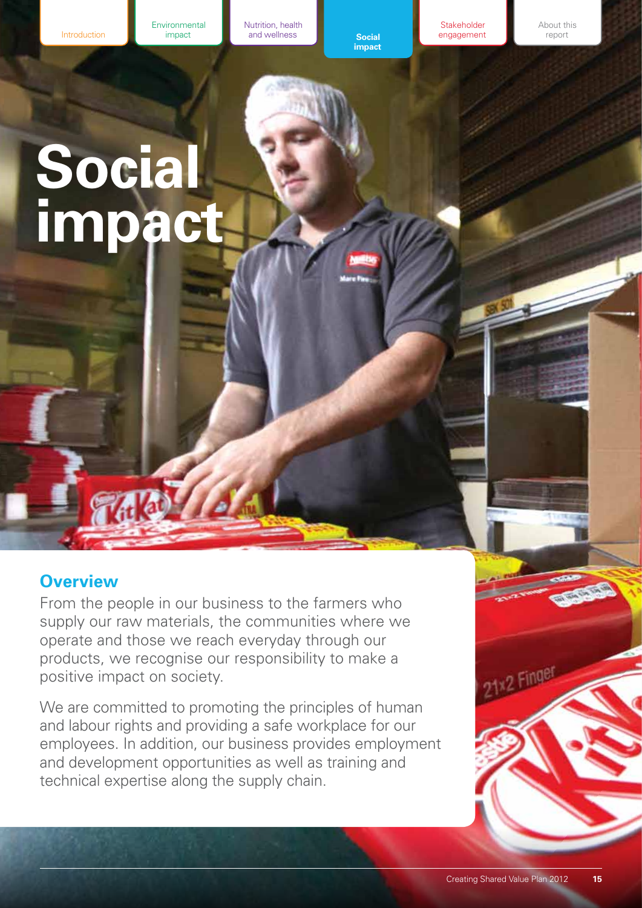Nutrition, health **EXECUTE:** The and wellness **Constant Social** 

**impact** 

**Stakeholder** engagement About this report

# <span id="page-0-0"></span>**Social impact**

# **Overview**

From the people in our business to the farmers who supply our raw materials, the communities where we operate and those we reach everyday through our products, we recognise our responsibility to make a positive impact on society.

We are committed to promoting the principles of human and labour rights and providing a safe workplace for our employees. In addition, our business provides employment and development opportunities as well as training and technical expertise along the supply chain.

21×2 Finger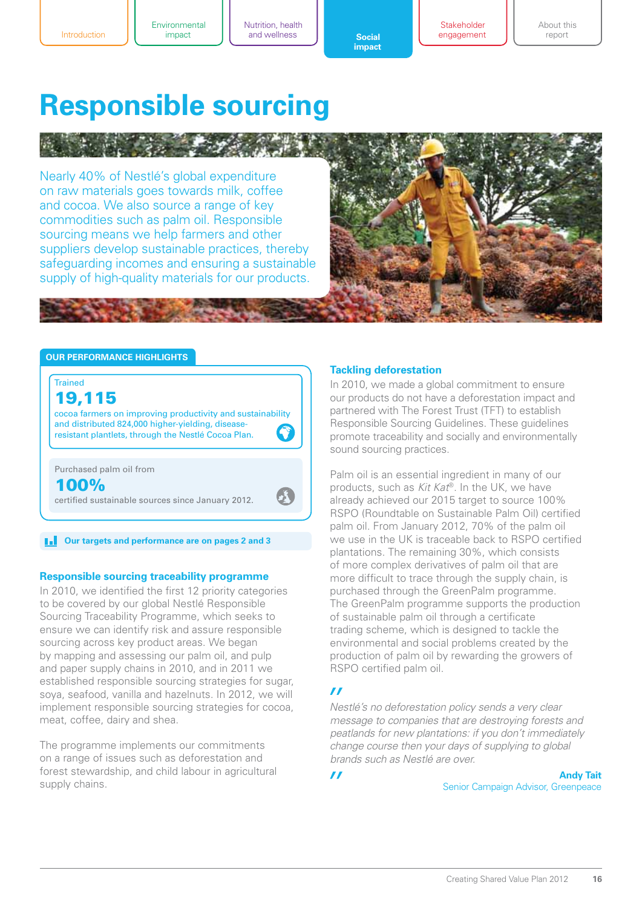**Stakeholder** engagement

# **Responsible sourcing**

Nearly 40% of Nestlé's global expenditure on raw materials goes towards milk, coffee and cocoa. We also source a range of key commodities such as palm oil. Responsible sourcing means we help farmers and other suppliers develop sustainable practices, thereby safeguarding incomes and ensuring a sustainable supply of high-quality materials for our products.



#### **Our performance highlights**



# 19,115

cocoa farmers on improving productivity and sustainability and distributed 824,000 higher-yielding, diseaseresistant plantlets, through the Nestlé Cocoa Plan.

Purchased palm oil from 100%

certified sustainable sources since January 2012.

 $\|\cdot\|$  **Our targets and performance are on pages 2 and 3** 

#### **Responsible sourcing traceability programme**

In 2010, we identified the first 12 priority categories to be covered by our global Nestlé Responsible Sourcing Traceability Programme, which seeks to ensure we can identify risk and assure responsible sourcing across key product areas. We began by mapping and assessing our palm oil, and pulp and paper supply chains in 2010, and in 2011 we established responsible sourcing strategies for sugar, soya, seafood, vanilla and hazelnuts. In 2012, we will implement responsible sourcing strategies for cocoa, meat, coffee, dairy and shea.

The programme implements our commitments on a range of issues such as deforestation and forest stewardship, and child labour in agricultural supply chains.

#### **Tackling deforestation**

In 2010, we made a global commitment to ensure our products do not have a deforestation impact and partnered with The Forest Trust (TFT) to establish Responsible Sourcing Guidelines. These guidelines promote traceability and socially and environmentally sound sourcing practices.

Palm oil is an essential ingredient in many of our products, such as *Kit Kat*®. In the UK, we have already achieved our 2015 target to source 100% RSPO (Roundtable on Sustainable Palm Oil) certified palm oil. From January 2012, 70% of the palm oil we use in the UK is traceable back to RSPO certified plantations. The remaining 30%, which consists of more complex derivatives of palm oil that are more difficult to trace through the supply chain, is purchased through the GreenPalm programme. The GreenPalm programme supports the production of sustainable palm oil through a certificate trading scheme, which is designed to tackle the environmental and social problems created by the production of palm oil by rewarding the growers of RSPO certified palm oil.

#### $\boldsymbol{\prime\prime}$

*Nestlé's no deforestation policy sends a very clear message to companies that are destroying forests and peatlands for new plantations: if you don't immediately change course then your days of supplying to global brands such as Nestlé are over.*

 $\mathbf{z}$ 

**Andy Tait** Senior Campaign Advisor, Greenpeace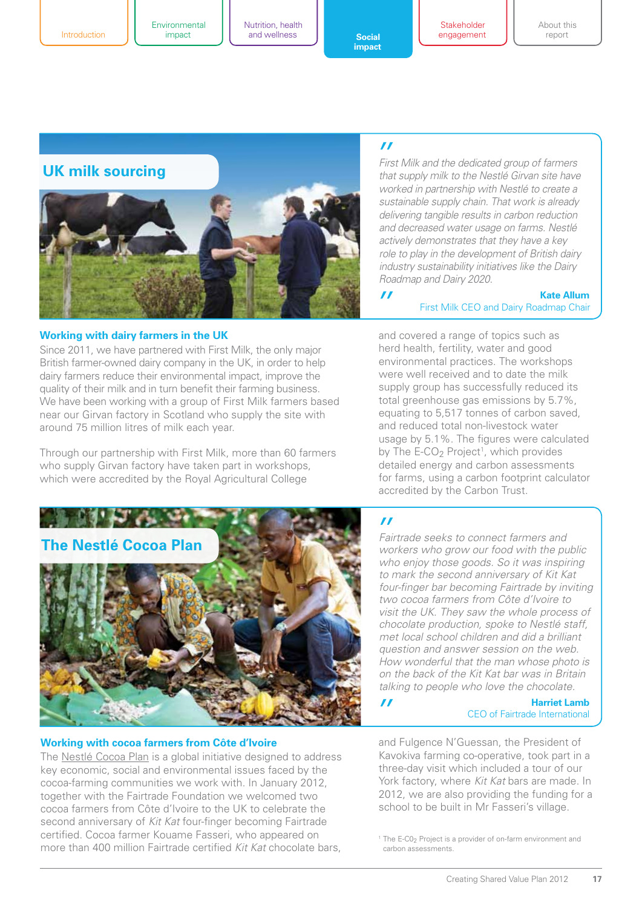Introduction

Environmental

Nutrition, health impact **c c social** 

**Stakeholder** engagement About this report



#### **Working with dairy farmers in the UK**

Since 2011, we have partnered with First Milk, the only major British farmer-owned dairy company in the UK, in order to help dairy farmers reduce their environmental impact, improve the quality of their milk and in turn benefit their farming business. We have been working with a group of First Milk farmers based near our Girvan factory in Scotland who supply the site with around 75 million litres of milk each year.

Through our partnership with First Milk, more than 60 farmers who supply Girvan factory have taken part in workshops, which were accredited by the Royal Agricultural College

#### $\boldsymbol{\prime\prime}$

 $\mathbf{r}$ 

*First Milk and the dedicated group of farmers that supply milk to the Nestlé Girvan site have worked in partnership with Nestlé to create a sustainable supply chain. That work is already delivering tangible results in carbon reduction and decreased water usage on farms. Nestlé actively demonstrates that they have a key role to play in the development of British dairy industry sustainability initiatives like the Dairy Roadmap and Dairy 2020.*

#### **Kate Allum** First Milk CEO and Dairy Roadmap Chair

and covered a range of topics such as herd health, fertility, water and good environmental practices. The workshops were well received and to date the milk supply group has successfully reduced its total greenhouse gas emissions by 5.7%, equating to 5,517 tonnes of carbon saved, and reduced total non-livestock water usage by 5.1%. The figures were calculated by The  $E-CO<sub>2</sub>$  Project<sup>1</sup>, which provides detailed energy and carbon assessments for farms, using a carbon footprint calculator accredited by the Carbon Trust.



#### **Working with cocoa farmers from Côte d'Ivoire**

The [Nestlé Cocoa Plan i](www.nestlecocoaplan.com)s a global initiative designed to address key economic, social and environmental issues faced by the cocoa-farming communities we work with. In January 2012, together with the Fairtrade Foundation we welcomed two cocoa farmers from Côte d'Ivoire to the UK to celebrate the second anniversary of *Kit Kat* four-finger becoming Fairtrade certified. Cocoa farmer Kouame Fasseri, who appeared on more than 400 million Fairtrade certified *Kit Kat* chocolate bars,

### $\overline{I}$

*Fairtrade seeks to connect farmers and workers who grow our food with the public who enjoy those goods. So it was inspiring to mark the second anniversary of Kit Kat four-finger bar becoming Fairtrade by inviting two cocoa farmers from Côte d'Ivoire to visit the UK. They saw the whole process of chocolate production, spoke to Nestlé staff, met local school children and did a brilliant question and answer session on the web. How wonderful that the man whose photo is on the back of the Kit Kat bar was in Britain talking to people who love the chocolate.*

 $\mathbf{r}$ 

#### **Harriet Lamb**  CEO of Fairtrade International

and Fulgence N'Guessan, the President of Kavokiva farming co-operative, took part in a three-day visit which included a tour of our York factory, where *Kit Kat* bars are made. In 2012, we are also providing the funding for a school to be built in Mr Fasseri's village.

<sup>1</sup> The E-C0<sub>2</sub> Project is a provider of on-farm environment and carbon assessments.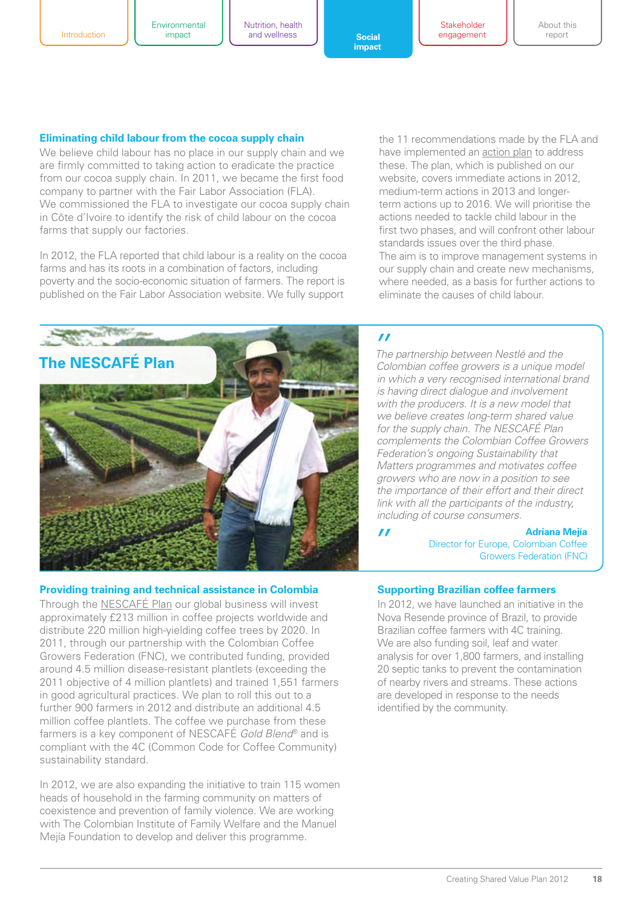Nutrition, health impact **c c social** 

**[impact](#page-0-0)** 

**Stakeholder** engagement About this report

#### **Eliminating child labour from the cocoa supply chain**

We believe child labour has no place in our supply chain and we are firmly committed to taking action to eradicate the practice from our cocoa supply chain. In 2011, we became the first food company to partner with the Fair Labor Association (FLA). We commissioned the FLA to investigate our cocoa supply chain in Côte d'Ivoire to identify the risk of child labour on the cocoa farms that supply our factories.

In 2012, the FLA reported that child labour is a reality on the cocoa farms and has its roots in a combination of factors, including poverty and the socio-economic situation of farmers. The report is published on the Fair Labor Association website. We fully support

**The NESCAFÉ Plan** *The partnership between Nestlé and the Colombian coffee growers is a unique model* **<b>The partnership between Nestlé** and the

#### **Providing training and technical assistance in Colombia**

Through th[e NESCAFÉ Plan o](www.nescafe.co.uk/sustainability)ur global business will invest approximately £213 million in coffee projects worldwide and distribute 220 million high-yielding coffee trees by 2020. In 2011, through our partnership with the Colombian Coffee Growers Federation (FNC), we contributed funding, provided around 4.5 million disease-resistant plantlets (exceeding the 2011 objective of 4 million plantlets) and trained 1,551 farmers in good agricultural practices. We plan to roll this out to a further 900 farmers in 2012 and distribute an additional 4.5 million coffee plantlets. The coffee we purchase from these farmers is a key component of NESCAFÉ *Gold Blend*® and is compliant with the 4C (Common Code for Coffee Community) sustainability standard.

In 2012, we are also expanding the initiative to train 115 women heads of household in the farming community on matters of coexistence and prevention of family violence. We are working with The Colombian Institute of Family Welfare and the Manuel Mejía Foundation to develop and deliver this programme.

the 11 recommendations made by the FLA and have implemented a[n action plan to](http://www.nestle.com/Common/NestleDocuments/Documents/Creating%20Shared%20Value/Rural_development/Action_Plan_for_FLA_%20cocoa_report.PDF) address these. The plan, which is published on our website, covers immediate actions in 2012, medium-term actions in 2013 and longerterm actions up to 2016. We will prioritise the actions needed to tackle child labour in the first two phases, and will confront other labour standards issues over the third phase. The aim is to improve management systems in our supply chain and create new mechanisms, where needed, as a basis for further actions to eliminate the causes of child labour.

#### $\mathbf{r}$

*in which a very recognised international brand is having direct dialogue and involvement with the producers. It is a new model that we believe creates long-term shared value for the supply chain. The NESCAFÉ Plan complements the Colombian Coffee Growers Federation's ongoing Sustainability that Matters programmes and motivates coffee growers who are now in a position to see the importance of their effort and their direct link with all the participants of the industry, including of course consumers.*

 $\prime\prime$ 

**Adriana Mejía**

Director for Europe, Colombian Coffee Growers Federation (FNC)

#### **Supporting Brazilian coffee farmers**

In 2012, we have launched an initiative in the Nova Resende province of Brazil, to provide Brazilian coffee farmers with 4C training. We are also funding soil, leaf and water analysis for over 1,800 farmers, and installing 20 septic tanks to prevent the contamination of nearby rivers and streams. These actions are developed in response to the needs identified by the community.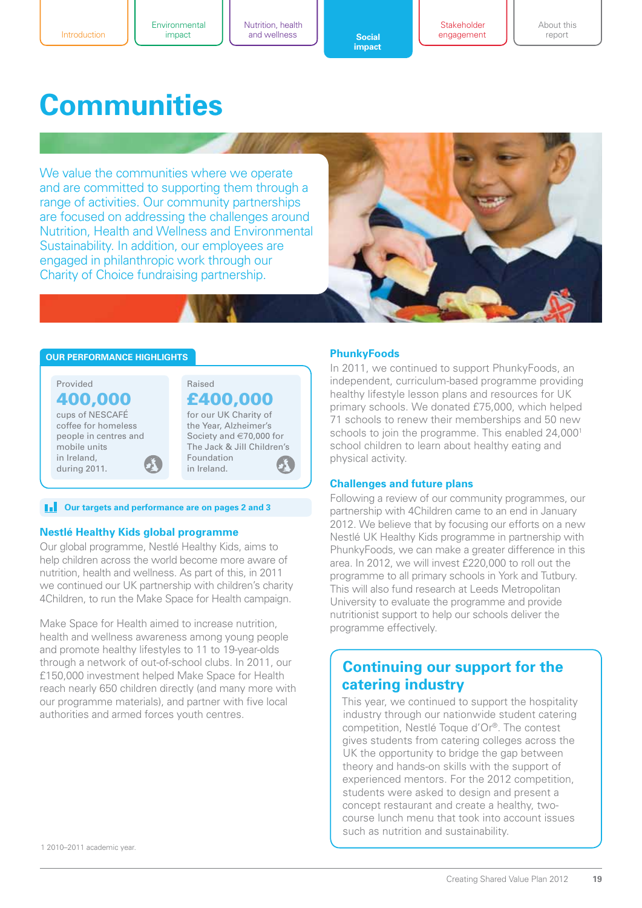**Stakeholder** engagement About this report

# **Communities**

We value the communities where we operate and are committed to supporting them through a range of activities. Our community partnerships are focused on addressing the challenges around Nutrition, Health and Wellness and Environmental Sustainability. In addition, our employees are engaged in philanthropic work through our Charity of Choice fundraising partnership.



#### **Our performance highlights**



#### **F** Our targets and performance are on pages 2 and 3

#### **Nestlé Healthy Kids global programme**

Our global programme, Nestlé Healthy Kids, aims to help children across the world become more aware of nutrition, health and wellness. As part of this, in 2011 we continued our UK partnership with children's charity 4Children, to run the Make Space for Health campaign.

Make Space for Health aimed to increase nutrition, health and wellness awareness among young people and promote healthy lifestyles to 11 to 19-year-olds through a network of out-of-school clubs. In 2011, our £150,000 investment helped Make Space for Health reach nearly 650 children directly (and many more with our programme materials), and partner with five local authorities and armed forces youth centres.

#### **PhunkyFoods**

In 2011, we continued to support PhunkyFoods, an independent, curriculum-based programme providing healthy lifestyle lesson plans and resources for UK primary schools. We donated £75,000, which helped 71 schools to renew their memberships and 50 new schools to join the programme. This enabled 24,000<sup>1</sup> school children to learn about healthy eating and physical activity.

#### **Challenges and future plans**

Following a review of our community programmes, our partnership with 4Children came to an end in January 2012. We believe that by focusing our efforts on a new Nestlé UK Healthy Kids programme in partnership with PhunkyFoods, we can make a greater difference in this area. In 2012, we will invest £220,000 to roll out the programme to all primary schools in York and Tutbury. This will also fund research at Leeds Metropolitan University to evaluate the programme and provide nutritionist support to help our schools deliver the programme effectively.

## **Continuing our support for the catering industry**

This year, we continued to support the hospitality industry through our nationwide student catering competition, Nestlé Toque d'Or®. The contest gives students from catering colleges across the UK the opportunity to bridge the gap between theory and hands-on skills with the support of experienced mentors. For the 2012 competition, students were asked to design and present a concept restaurant and create a healthy, twocourse lunch menu that took into account issues such as nutrition and sustainability.

1 2010–2011 academic year.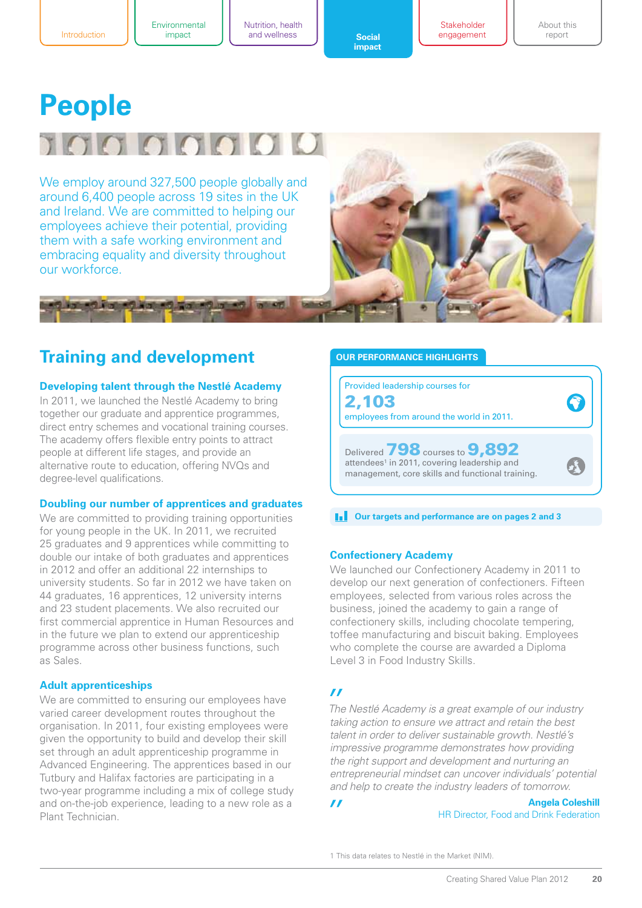Nutrition, health impact **c c social** 

**DOM NOTE** 

**[impact](#page-0-0)** 

**Stakeholder** engagement About this report

# **People** 1000000

We employ around 327,500 people globally and around 6,400 people across 19 sites in the UK and Ireland. We are committed to helping our employees achieve their potential, providing them with a safe working environment and embracing equality and diversity throughout our workforce.

# **Training and development**

#### **Developing talent through the Nestlé Academy**

In 2011, we launched the Nestlé Academy to bring together our graduate and apprentice programmes, direct entry schemes and vocational training courses. The academy offers flexible entry points to attract people at different life stages, and provide an alternative route to education, offering NVQs and degree-level qualifications.

#### **Doubling our number of apprentices and graduates**

We are committed to providing training opportunities for young people in the UK. In 2011, we recruited 25 graduates and 9 apprentices while committing to double our intake of both graduates and apprentices in 2012 and offer an additional 22 internships to university students. So far in 2012 we have taken on 44 graduates, 16 apprentices, 12 university interns and 23 student placements. We also recruited our first commercial apprentice in Human Resources and in the future we plan to extend our apprenticeship programme across other business functions, such as Sales.

#### **Adult apprenticeships**

We are committed to ensuring our employees have varied career development routes throughout the organisation. In 2011, four existing employees were given the opportunity to build and develop their skill set through an adult apprenticeship programme in Advanced Engineering. The apprentices based in our Tutbury and Halifax factories are participating in a two-year programme including a mix of college study and on-the-job experience, leading to a new role as a Plant Technician.

#### **Our performance highlights**



#### **THE Our targets and performance are on pages 2 and 3**

#### **Confectionery Academy**

We launched our Confectionery Academy in 2011 to develop our next generation of confectioners. Fifteen employees, selected from various roles across the business, joined the academy to gain a range of confectionery skills, including chocolate tempering, toffee manufacturing and biscuit baking. Employees who complete the course are awarded a Diploma Level 3 in Food Industry Skills.

#### $\boldsymbol{\mathcal{H}}$

 $\boldsymbol{H}$ 

*The Nestlé Academy is a great example of our industry taking action to ensure we attract and retain the best talent in order to deliver sustainable growth. Nestlé's impressive programme demonstrates how providing the right support and development and nurturing an entrepreneurial mindset can uncover individuals' potential and help to create the industry leaders of tomorrow.*

> **Angela Coleshill** HR Director, Food and Drink Federation

1 This data relates to Nestlé in the Market (NIM).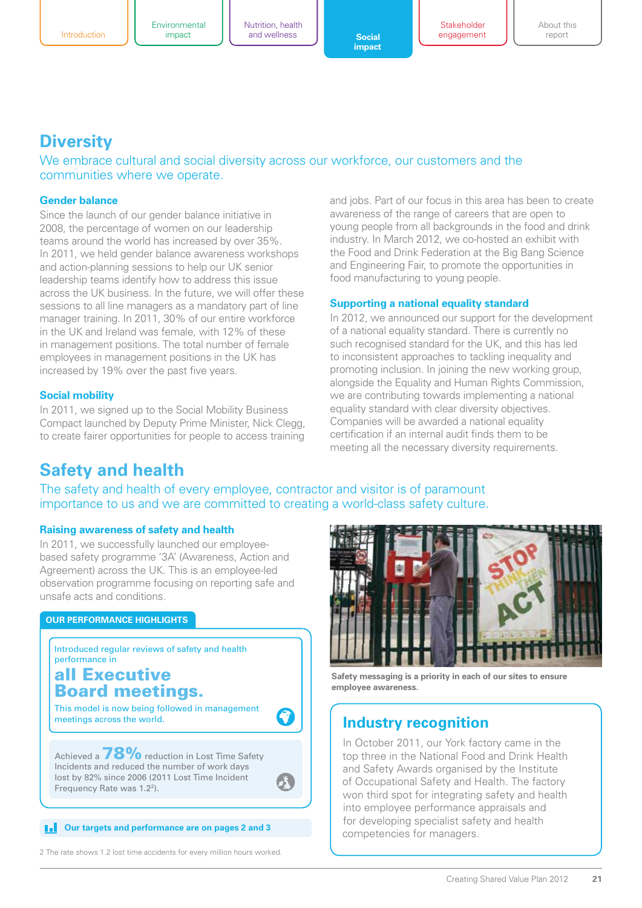Nutrition, health impact **c c social** 

**[impact](#page-0-0)** 

**Stakeholder** engagement About this report

# **Diversity**

We embrace cultural and social diversity across our workforce, our customers and the communities where we operate.

#### **Gender balance**

Since the launch of our gender balance initiative in 2008, the percentage of women on our leadership teams around the world has increased by over 35%. In 2011, we held gender balance awareness workshops and action-planning sessions to help our UK senior leadership teams identify how to address this issue across the UK business. In the future, we will offer these sessions to all line managers as a mandatory part of line manager training. In 2011, 30% of our entire workforce in the UK and Ireland was female, with 12% of these in management positions. The total number of female employees in management positions in the UK has increased by 19% over the past five years.

#### **Social mobility**

In 2011, we signed up to the Social Mobility Business Compact launched by Deputy Prime Minister, Nick Clegg, to create fairer opportunities for people to access training

and jobs. Part of our focus in this area has been to create awareness of the range of careers that are open to young people from all backgrounds in the food and drink industry. In March 2012, we co-hosted an exhibit with the Food and Drink Federation at the Big Bang Science and Engineering Fair, to promote the opportunities in food manufacturing to young people.

#### **Supporting a national equality standard**

In 2012, we announced our support for the development of a national equality standard. There is currently no such recognised standard for the UK, and this has led to inconsistent approaches to tackling inequality and promoting inclusion. In joining the new working group, alongside the Equality and Human Rights Commission, we are contributing towards implementing a national equality standard with clear diversity objectives. Companies will be awarded a national equality certification if an internal audit finds them to be meeting all the necessary diversity requirements.

# **Safety and health**

The safety and health of every employee, contractor and visitor is of paramount importance to us and we are committed to creating a world-class safety culture.

#### **Raising awareness of safety and health**

In 2011, we successfully launched our employeebased safety programme '3A' (Awareness, Action and Agreement) across the UK. This is an employee-led observation programme focusing on reporting safe and unsafe acts and conditions.

#### **Our performance highlights**

Introduced regular reviews of safety and health performance in

### all Executive Board meetings.

This model is now being followed in management meetings across the world.

Achieved a  $78\%$  reduction in Lost Time Safety Incidents and reduced the number of work days lost by 82% since 2006 (2011 Lost Time Incident Frequency Rate was 1.22).

### **Competencies and performance are on pages 2 and 3**<br>Competencies for managers.

2 The rate shows 1.2 lost time accidents for every million hours worked.



**Safety messaging is a priority in each of our sites to ensure employee awareness.**

### **Industry recognition**

In October 2011, our York factory came in the top three in the National Food and Drink Health and Safety Awards organised by the Institute of Occupational Safety and Health. The factory won third spot for integrating safety and health into employee performance appraisals and for developing specialist safety and health